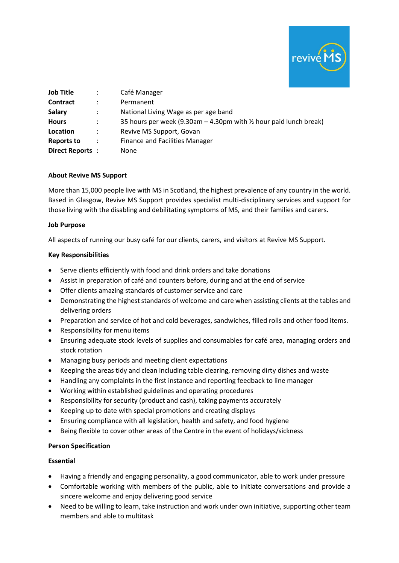

| <b>Job Title</b> |                      | Café Manager                                                                   |
|------------------|----------------------|--------------------------------------------------------------------------------|
| <b>Contract</b>  | ÷                    | Permanent                                                                      |
| <b>Salary</b>    | ÷                    | National Living Wage as per age band                                           |
| <b>Hours</b>     | ÷                    | 35 hours per week (9.30am $-$ 4.30pm with $\frac{1}{2}$ hour paid lunch break) |
| Location         | $\ddot{\phantom{a}}$ | Revive MS Support, Govan                                                       |
| Reports to       | $\ddot{\cdot}$       | <b>Finance and Facilities Manager</b>                                          |
| Direct Reports:  |                      | <b>None</b>                                                                    |

### **About Revive MS Support**

More than 15,000 people live with MS in Scotland, the highest prevalence of any country in the world. Based in Glasgow, Revive MS Support provides specialist multi-disciplinary services and support for those living with the disabling and debilitating symptoms of MS, and their families and carers.

# **Job Purpose**

All aspects of running our busy café for our clients, carers, and visitors at Revive MS Support.

# **Key Responsibilities**

- Serve clients efficiently with food and drink orders and take donations
- Assist in preparation of café and counters before, during and at the end of service
- Offer clients amazing standards of customer service and care
- Demonstrating the highest standards of welcome and care when assisting clients at the tables and delivering orders
- Preparation and service of hot and cold beverages, sandwiches, filled rolls and other food items.
- Responsibility for menu items
- Ensuring adequate stock levels of supplies and consumables for café area, managing orders and stock rotation
- Managing busy periods and meeting client expectations
- Keeping the areas tidy and clean including table clearing, removing dirty dishes and waste
- Handling any complaints in the first instance and reporting feedback to line manager
- Working within established guidelines and operating procedures
- Responsibility for security (product and cash), taking payments accurately
- Keeping up to date with special promotions and creating displays
- Ensuring compliance with all legislation, health and safety, and food hygiene
- Being flexible to cover other areas of the Centre in the event of holidays/sickness

### **Person Specification**

### **Essential**

- Having a friendly and engaging personality, a good communicator, able to work under pressure
- Comfortable working with members of the public, able to initiate conversations and provide a sincere welcome and enjoy delivering good service
- Need to be willing to learn, take instruction and work under own initiative, supporting other team members and able to multitask